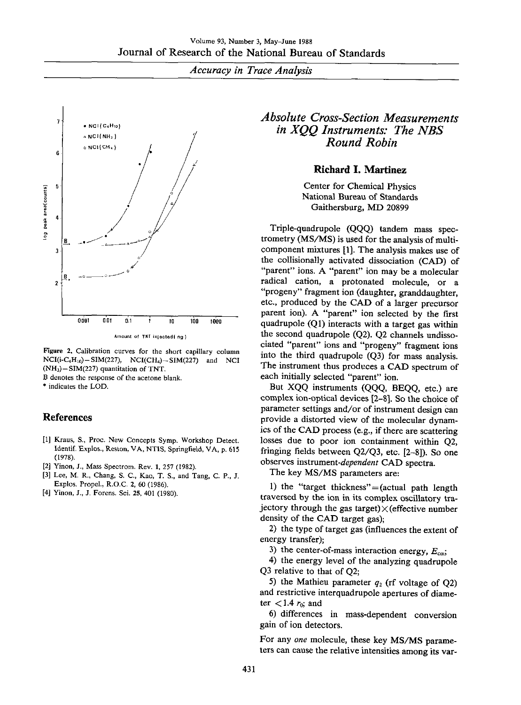*Accuracy in Trace Analysis*



Amount of **TNT** injected(ng)

Figure 2. Calibration curves for the short capillary column  $NCI(i-C<sub>4</sub>H<sub>10</sub>) - SIM(227), NCI(CH<sub>4</sub>) - SIM(227)$  and NCI  $(NH<sub>3</sub>) - SIM(227)$  quantitation of TNT.

B denotes the response of the acetone blank.

\* indicates the LOD.

# References

- [1] Kraus, S., Proc. New Concepts Symp. Workshop Detect. Identif. Explos., Reston, VA, NTIS, Springfield, VA, p. 615 (1978).
- [2] Yinon, J., Mass Spectrom, Rev. 1, 257 (1982).
- [3] Lee, M. R., Chang, S. C., Kao, T. S., and Tang, C. P., **J.** Explos. Propel., R.O.C. 2, 60 (1986).
- [4] Yinon, J., J. Forens. Sci. 25, 401 (1980).

# *Absolute Cross-Section Measurements in XQQ Instruments: The NBS Round Robin*

# Richard I. Martinez

Center for Chemical Physics National Bureau of Standards Gaithersburg, MD 20899

Triple-quadrupole (QQQ) tandem mass spectrometry (MS/MS) is used for the analysis of multicomponent mixtures [1]. The analysis makes use of the collisionally activated dissociation (CAD) of "parent" ions. A "parent" ion may be a molecular radical cation, a protonated molecule, or a "progeny" fragment ion (daughter, granddaughter, etc., produced by the CAD of a larger precursor parent ion). A "parent" ion selected by the first quadrupole (Ql) interacts with a target gas within the second quadrupole (Q2). Q2 channels undissociated "parent" ions and "progeny" fragment ions into the third quadrupole (Q3) for mass analysis. The instrument thus produces a CAD spectrum of each initially selected "parent" ion.

But XQQ instruments (QQQ, BEQQ, etc.) are complex ion-optical devices [2-B]. So the choice of parameter settings and/or of instrument design can provide a distorted view of the molecular dynamics of the CAD process (e.g., if there are scattering losses due to poor ion containment within Q2, fringing fields between Q2/Q3, etc. [2-8]). So one observes instrument-dependent CAD spectra.

The key MS/MS parameters are:

1) the "target thickness"=(actual path length traversed by the ion in its complex oscillatory trajectory through the gas target) $\times$  (effective number density of the CAD target gas);

2) the type of target gas (influences the extent of energy transfer);

3) the center-of-mass interaction energy,  $E_{cm}$ ;

4) the energy level of the analyzing quadrupole Q3 relative to that of Q2;

5) the Mathieu parameter  $q_2$  (rf voltage of O2) and restrictive interquadrupole apertures of diameter  $< 1.4 r_0$ ; and

6) differences in mass-dependent conversion gain of ion detectors.

For any *one* molecule, these key MS/MS parameters can cause the relative intensities among its var-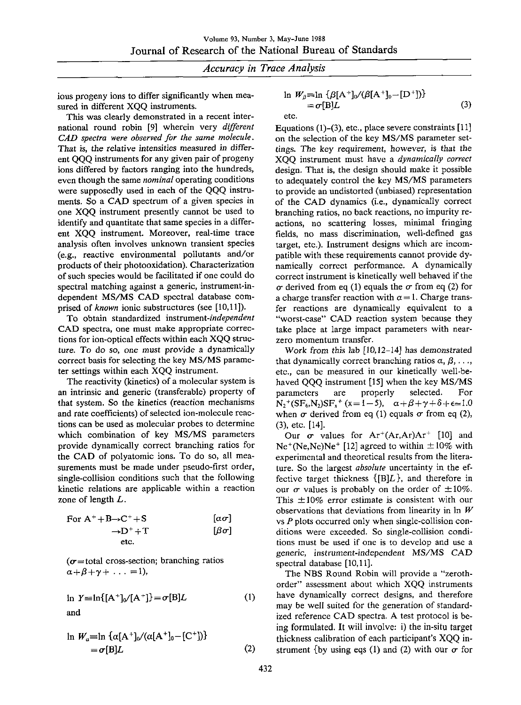#### *Accuracy in Trace Analysis*

ious progeny ions to differ significantly when measured in different XQQ instruments.

This was clearly demonstrated in a recent international round robin [9] wherein very *different CAD spectra were observed for the same molecule.* That is, the relative intensities measured *in* different QQQ instruments for any given pair of progeny ions differed by factors ranging into the hundreds, even though the same *nominal* operating conditions were supposedly used in each of the QQQ instruments. So a CAD spectrum of a given species in one XQQ instrument presently cannot be used to identify and quantitate that same species in a different XQQ instrument. Moreover, real-time trace analysis often involves unknown transient species (e.g., reactive environmental pollutants and/or products of their photooxidation). Characterization of such species would be facilitated if one could do spectral matching against a generic, instrument-independent MS/MS CAD spectral database comprised of *known* ionic substructures (see [10,11]).

To obtain standardized *instrument-independent* CAD spectra, one must make appropriate corrections for ion-optical effects within each XQQ structure. To do so, one must provide a dynamically correct basis for selecting the key MS/MS parameter settings within each XQQ instrument.

The reactivity (kinetics) of a molecular system is an intrinsic and generic (transferable) property of that system. So the kinetics (reaction mechanisms and rate coefficients) of selected ion-molecule reactions can be used as molecular probes to determine which combination of key MS/MS parameters provide dynamically correct branching ratios for the CAD of polyatomic ions. To do so, all measurements must be made under pseudo-first order, single-collision conditions such that the following kinetic relations are applicable within a reaction zone of length L.

For A<sup>+</sup>+B
$$
\rightarrow
$$
C<sup>+</sup>+S [a $\sigma$ ]  
\n $\rightarrow$ D<sup>+</sup>+T [β $\sigma$ ]  
\netc.

( $\sigma$ =total cross-section; branching ratios  $\alpha+\beta+\gamma+\ldots =1$ ),

$$
\ln Y = \ln\{[\mathbf{A}^+]_0 / [\mathbf{A}^+] \} = \sigma[\mathbf{B}]L \tag{1}
$$
\nand

$$
\ln W_a = \ln {\alpha[A^+]_0 / (\alpha[A^+]_0 - [C^+])}
$$
  
=  $\sigma[B]L$  (2)

$$
\ln W_{\beta} = \ln \left\{ \beta [\mathbf{A}^+]_0 / (\beta [\mathbf{A}^+]_0 - [\mathbf{D}^+]) \right\}
$$
  
=  $\sigma[\mathbf{B}]L$  (3)  
etc.

Equations (1)-(3), etc., place severe constraints [11] on the selection of the key MS/MS parameter settings. The key requirement, however, is that the XQQ instrument must have a *dynamically correct* design. That is, the design should make it possible to adequately control the key MS/MS parameters to provide an undistorted (unbiased) representation of the CAD dynamics (i.e., dynamically correct branching ratios, no back reactions, no impurity reactions, no scattering losses, minimal fringing fields, no mass discrimination, well-defined gas target, etc.). Instrument designs which are incompatible with these requirements cannot provide dynamically correct performance. A dynamically correct instrument is kinetically well behaved if the  $\sigma$  derived from eq (1) equals the  $\sigma$  from eq (2) for a charge transfer reaction with  $\alpha = 1$ . Charge transfer reactions are dynamically equivalent to a "worst-case" CAD reaction system because they take place at large impact parameters with nearzero momentum transfer.

Work from this lab [10,12-14] has demonstrated that dynamically correct branching ratios  $\alpha$ ,  $\beta$ , ..., etc., can be measured in our kinetically well-behaved QQQ instrument [15] when the key MS/MS parameters are properly selected. For  $N_2^+(SF_6N_2)SF_3^+(x=1-5), \quad \alpha+\beta+\gamma+\delta+\epsilon \approx 1.0$ when  $\sigma$  derived from eq (1) equals  $\sigma$  from eq (2), (3), etc. [14].

Our  $\sigma$  values for Ar<sup>+</sup>(Ar,Ar)Ar<sup>+</sup> [10] and  $Ne^{+}(Ne,Ne)Ne^{+}$  [12] agreed to within  $\pm 10\%$  with experimental and theoretical results from the literature. So the largest *absolute* uncertainty in the effective target thickness  $\{[B]L\}$ , and therefore in our  $\sigma$  values is probably on the order of  $\pm 10\%$ . This  $\pm 10\%$  error estimate is consistent with our observations that deviations from linearity in  $W$ vs  $P$  plots occurred only when single-collision conditions were exceeded. So single-collision conditions must be used if one is to develop and use a generic, instrument-independent MS/MS CAD spectral database [10,11].

The NBS Round Robin will provide a "zerothorder" assessment about which XQQ instruments have dynamically correct designs, and therefore may be well suited for the generation of standardized reference CAD spectra. A test protocol is being formulated. It will involve: i) the in-situ target thickness calibration of each participant's XQQ instrument {by using eqs (1) and (2) with our  $\sigma$  for